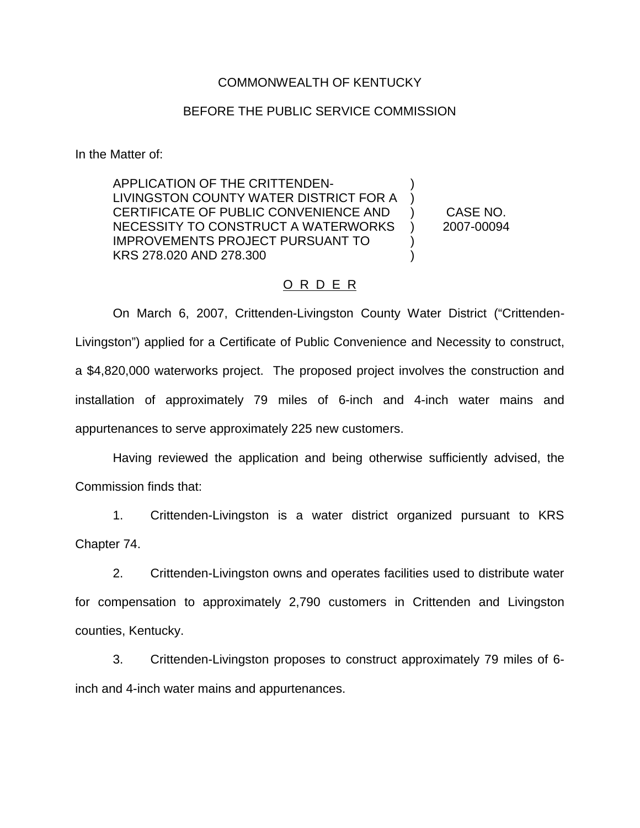## COMMONWEALTH OF KENTUCKY

## BEFORE THE PUBLIC SERVICE COMMISSION

In the Matter of:

APPLICATION OF THE CRITTENDEN-LIVINGSTON COUNTY WATER DISTRICT FOR A CERTIFICATE OF PUBLIC CONVENIENCE AND NECESSITY TO CONSTRUCT A WATERWORKS IMPROVEMENTS PROJECT PURSUANT TO KRS 278.020 AND 278.300 ) ) ) ) ) ) CASE NO. 2007-00094

## O R D E R

On March 6, 2007, Crittenden-Livingston County Water District ("Crittenden-Livingston") applied for a Certificate of Public Convenience and Necessity to construct, a \$4,820,000 waterworks project. The proposed project involves the construction and installation of approximately 79 miles of 6-inch and 4-inch water mains and appurtenances to serve approximately 225 new customers.

Having reviewed the application and being otherwise sufficiently advised, the Commission finds that:

1. Crittenden-Livingston is a water district organized pursuant to KRS Chapter 74.

2. Crittenden-Livingston owns and operates facilities used to distribute water for compensation to approximately 2,790 customers in Crittenden and Livingston counties, Kentucky.

3. Crittenden-Livingston proposes to construct approximately 79 miles of 6 inch and 4-inch water mains and appurtenances.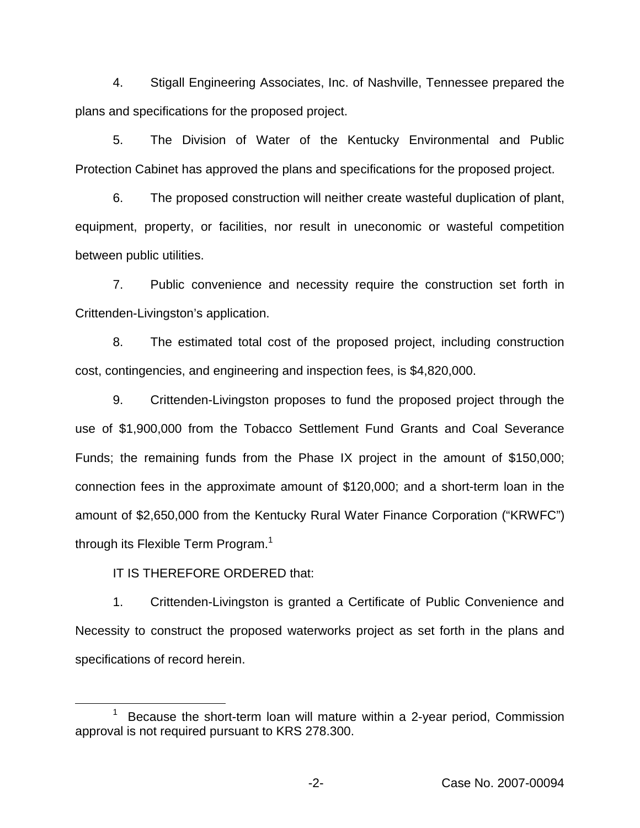4. Stigall Engineering Associates, Inc. of Nashville, Tennessee prepared the plans and specifications for the proposed project.

5. The Division of Water of the Kentucky Environmental and Public Protection Cabinet has approved the plans and specifications for the proposed project.

6. The proposed construction will neither create wasteful duplication of plant, equipment, property, or facilities, nor result in uneconomic or wasteful competition between public utilities.

7. Public convenience and necessity require the construction set forth in Crittenden-Livingston's application.

8. The estimated total cost of the proposed project, including construction cost, contingencies, and engineering and inspection fees, is \$4,820,000.

9. Crittenden-Livingston proposes to fund the proposed project through the use of \$1,900,000 from the Tobacco Settlement Fund Grants and Coal Severance Funds; the remaining funds from the Phase IX project in the amount of \$150,000; connection fees in the approximate amount of \$120,000; and a short-term loan in the amount of \$2,650,000 from the Kentucky Rural Water Finance Corporation ("KRWFC") through its Flexible Term Program.<sup>1</sup>

IT IS THEREFORE ORDERED that:

1. Crittenden-Livingston is granted a Certificate of Public Convenience and Necessity to construct the proposed waterworks project as set forth in the plans and specifications of record herein.

Because the short-term loan will mature within a 2-year period, Commission approval is not required pursuant to KRS 278.300.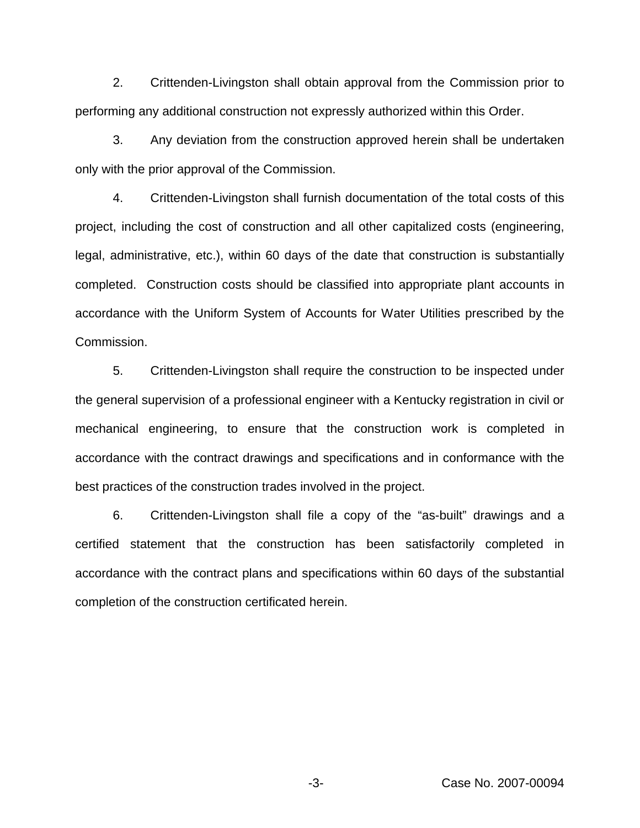2. Crittenden-Livingston shall obtain approval from the Commission prior to performing any additional construction not expressly authorized within this Order.

3. Any deviation from the construction approved herein shall be undertaken only with the prior approval of the Commission.

4. Crittenden-Livingston shall furnish documentation of the total costs of this project, including the cost of construction and all other capitalized costs (engineering, legal, administrative, etc.), within 60 days of the date that construction is substantially completed. Construction costs should be classified into appropriate plant accounts in accordance with the Uniform System of Accounts for Water Utilities prescribed by the Commission.

5. Crittenden-Livingston shall require the construction to be inspected under the general supervision of a professional engineer with a Kentucky registration in civil or mechanical engineering, to ensure that the construction work is completed in accordance with the contract drawings and specifications and in conformance with the best practices of the construction trades involved in the project.

6. Crittenden-Livingston shall file a copy of the "as-built" drawings and a certified statement that the construction has been satisfactorily completed in accordance with the contract plans and specifications within 60 days of the substantial completion of the construction certificated herein.